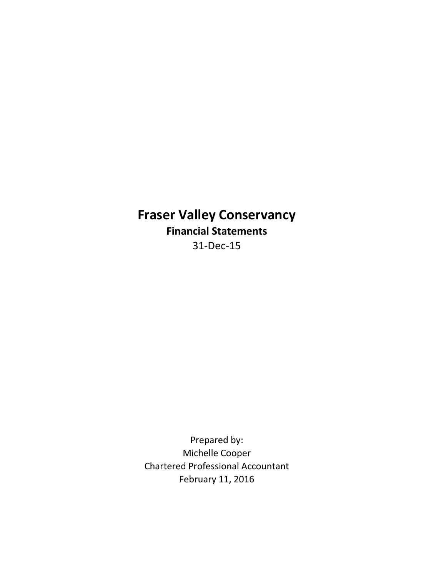# **Fraser Valley Conservancy Financial Statements** 31-Dec-15

Chartered Professional Accountant February 11, 2016 Prepared by: Michelle Cooper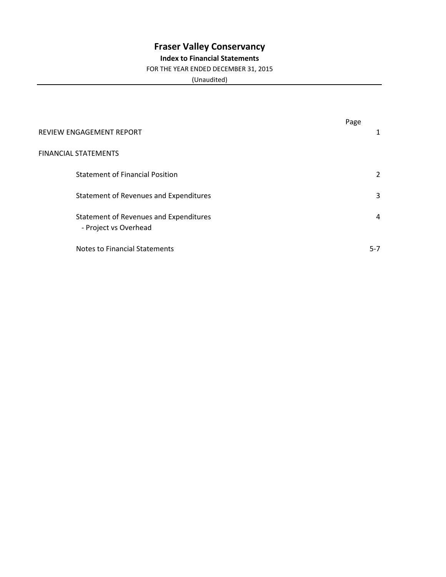# **Fraser Valley Conservancy**

### **Index to Financial Statements**

#### FOR THE YEAR ENDED DECEMBER 31, 2015

(Unaudited)

|                                                                 | Page |         |
|-----------------------------------------------------------------|------|---------|
| REVIEW ENGAGEMENT REPORT                                        |      |         |
| <b>FINANCIAL STATEMENTS</b>                                     |      |         |
| <b>Statement of Financial Position</b>                          |      | 2       |
| Statement of Revenues and Expenditures                          |      | 3       |
| Statement of Revenues and Expenditures<br>- Project vs Overhead |      | 4       |
| Notes to Financial Statements                                   |      | $5 - 7$ |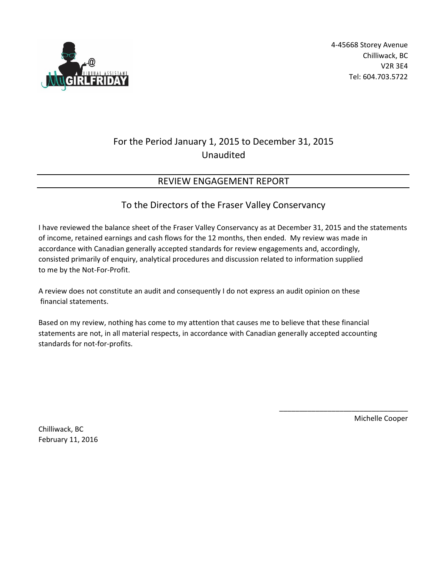

## For the Period January 1, 2015 to December 31, 2015 Unaudited

## REVIEW ENGAGEMENT REPORT

### To the Directors of the Fraser Valley Conservancy

I have reviewed the balance sheet of the Fraser Valley Conservancy as at December 31, 2015 and the statements of income, retained earnings and cash flows for the 12 months, then ended. My review was made in accordance with Canadian generally accepted standards for review engagements and, accordingly, consisted primarily of enquiry, analytical procedures and discussion related to information supplied to me by the Not-For-Profit.

A review does not constitute an audit and consequently I do not express an audit opinion on these financial statements.

Based on my review, nothing has come to my attention that causes me to believe that these financial statements are not, in all material respects, in accordance with Canadian generally accepted accounting standards for not-for-profits.

Chilliwack, BC February 11, 2016 Michelle Cooper

\_\_\_\_\_\_\_\_\_\_\_\_\_\_\_\_\_\_\_\_\_\_\_\_\_\_\_\_\_\_\_\_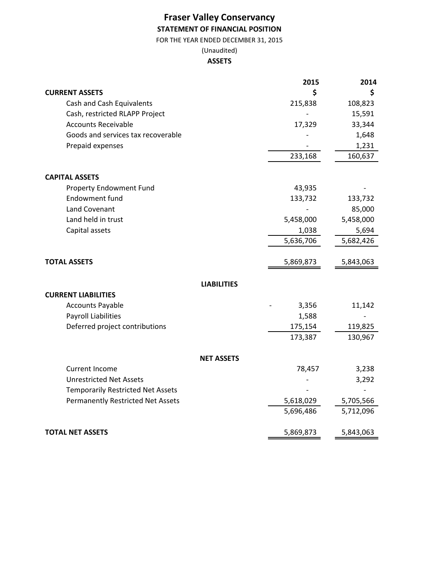## **Fraser Valley Conservancy STATEMENT OF FINANCIAL POSITION**

FOR THE YEAR ENDED DECEMBER 31, 2015

#### (Unaudited) **ASSETS**

|                                          | 2015      | 2014      |
|------------------------------------------|-----------|-----------|
| <b>CURRENT ASSETS</b>                    | \$        | \$        |
| Cash and Cash Equivalents                | 215,838   | 108,823   |
| Cash, restricted RLAPP Project           |           | 15,591    |
| <b>Accounts Receivable</b>               | 17,329    | 33,344    |
| Goods and services tax recoverable       |           | 1,648     |
| Prepaid expenses                         |           | 1,231     |
|                                          | 233,168   | 160,637   |
|                                          |           |           |
| <b>CAPITAL ASSETS</b>                    |           |           |
| Property Endowment Fund                  | 43,935    |           |
| Endowment fund                           | 133,732   | 133,732   |
| Land Covenant                            |           | 85,000    |
| Land held in trust                       | 5,458,000 | 5,458,000 |
| Capital assets                           | 1,038     | 5,694     |
|                                          | 5,636,706 | 5,682,426 |
|                                          |           |           |
| <b>TOTAL ASSETS</b>                      | 5,869,873 | 5,843,063 |
| <b>LIABILITIES</b>                       |           |           |
| <b>CURRENT LIABILITIES</b>               |           |           |
| <b>Accounts Payable</b>                  | 3,356     | 11,142    |
| <b>Payroll Liabilities</b>               | 1,588     |           |
| Deferred project contributions           | 175,154   | 119,825   |
|                                          | 173,387   | 130,967   |
| <b>NET ASSETS</b>                        |           |           |
| <b>Current Income</b>                    | 78,457    | 3,238     |
| <b>Unrestricted Net Assets</b>           |           | 3,292     |
| <b>Temporarily Restricted Net Assets</b> |           |           |
| <b>Permanently Restricted Net Assets</b> | 5,618,029 | 5,705,566 |
|                                          | 5,696,486 | 5,712,096 |
|                                          |           |           |
| <b>TOTAL NET ASSETS</b>                  | 5,869,873 | 5,843,063 |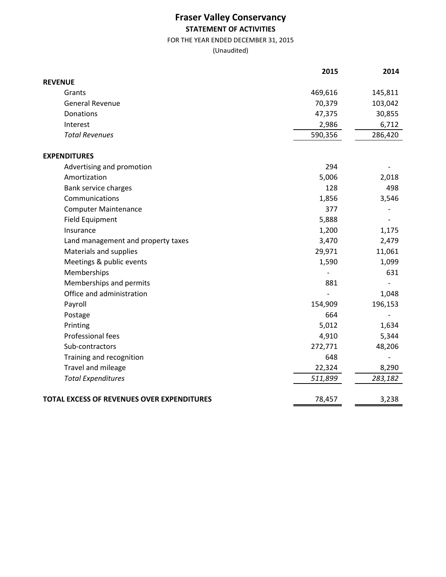## **Fraser Valley Conservancy STATEMENT OF ACTIVITIES**

FOR THE YEAR ENDED DECEMBER 31, 2015

(Unaudited)

|                                                   | 2015    | 2014    |
|---------------------------------------------------|---------|---------|
| <b>REVENUE</b>                                    |         |         |
| Grants                                            | 469,616 | 145,811 |
| <b>General Revenue</b>                            | 70,379  | 103,042 |
| Donations                                         | 47,375  | 30,855  |
| Interest                                          | 2,986   | 6,712   |
| <b>Total Revenues</b>                             | 590,356 | 286,420 |
| <b>EXPENDITURES</b>                               |         |         |
| Advertising and promotion                         | 294     |         |
| Amortization                                      | 5,006   | 2,018   |
| Bank service charges                              | 128     | 498     |
| Communications                                    | 1,856   | 3,546   |
| <b>Computer Maintenance</b>                       | 377     |         |
| <b>Field Equipment</b>                            | 5,888   |         |
| Insurance                                         | 1,200   | 1,175   |
| Land management and property taxes                | 3,470   | 2,479   |
| Materials and supplies                            | 29,971  | 11,061  |
| Meetings & public events                          | 1,590   | 1,099   |
| Memberships                                       |         | 631     |
| Memberships and permits                           | 881     |         |
| Office and administration                         |         | 1,048   |
| Payroll                                           | 154,909 | 196,153 |
| Postage                                           | 664     |         |
| Printing                                          | 5,012   | 1,634   |
| Professional fees                                 | 4,910   | 5,344   |
| Sub-contractors                                   | 272,771 | 48,206  |
| Training and recognition                          | 648     |         |
| Travel and mileage                                | 22,324  | 8,290   |
| <b>Total Expenditures</b>                         | 511,899 | 283,182 |
| <b>TOTAL EXCESS OF REVENUES OVER EXPENDITURES</b> | 78,457  | 3,238   |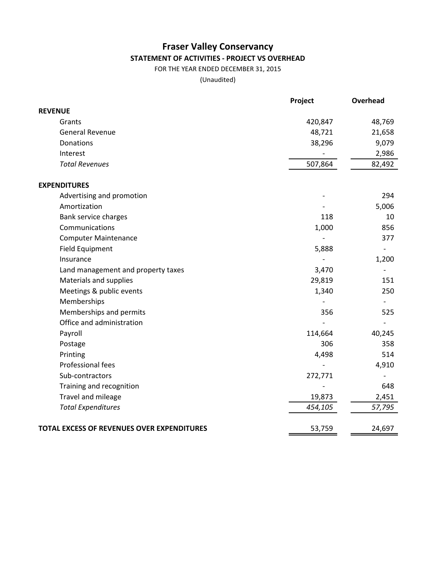## **Fraser Valley Conservancy STATEMENT OF ACTIVITIES - PROJECT VS OVERHEAD**

FOR THE YEAR ENDED DECEMBER 31, 2015

(Unaudited)

|                                                   | Project | Overhead |
|---------------------------------------------------|---------|----------|
| <b>REVENUE</b>                                    |         |          |
| Grants                                            | 420,847 | 48,769   |
| <b>General Revenue</b>                            | 48,721  | 21,658   |
| Donations                                         | 38,296  | 9,079    |
| Interest                                          |         | 2,986    |
| <b>Total Revenues</b>                             | 507,864 | 82,492   |
| <b>EXPENDITURES</b>                               |         |          |
| Advertising and promotion                         |         | 294      |
| Amortization                                      |         | 5,006    |
| Bank service charges                              | 118     | 10       |
| Communications                                    | 1,000   | 856      |
| <b>Computer Maintenance</b>                       |         | 377      |
| <b>Field Equipment</b>                            | 5,888   |          |
| Insurance                                         |         | 1,200    |
| Land management and property taxes                | 3,470   |          |
| Materials and supplies                            | 29,819  | 151      |
| Meetings & public events                          | 1,340   | 250      |
| Memberships                                       |         |          |
| Memberships and permits                           | 356     | 525      |
| Office and administration                         |         |          |
| Payroll                                           | 114,664 | 40,245   |
| Postage                                           | 306     | 358      |
| Printing                                          | 4,498   | 514      |
| Professional fees                                 |         | 4,910    |
| Sub-contractors                                   | 272,771 |          |
| Training and recognition                          |         | 648      |
| Travel and mileage                                | 19,873  | 2,451    |
| <b>Total Expenditures</b>                         | 454,105 | 57,795   |
| <b>TOTAL EXCESS OF REVENUES OVER EXPENDITURES</b> | 53,759  | 24,697   |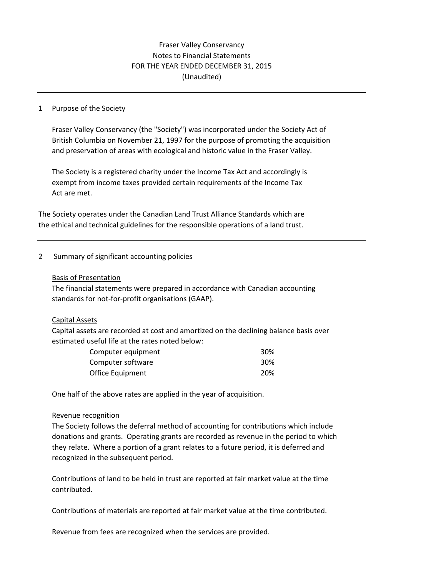### Fraser Valley Conservancy Notes to Financial Statements FOR THE YEAR ENDED DECEMBER 31, 2015 (Unaudited)

#### 1 Purpose of the Society

Fraser Valley Conservancy (the "Society") was incorporated under the Society Act of British Columbia on November 21, 1997 for the purpose of promoting the acquisition and preservation of areas with ecological and historic value in the Fraser Valley.

The Society is a registered charity under the Income Tax Act and accordingly is exempt from income taxes provided certain requirements of the Income Tax Act are met.

The Society operates under the Canadian Land Trust Alliance Standards which are the ethical and technical guidelines for the responsible operations of a land trust.

#### 2 Summary of significant accounting policies

#### Basis of Presentation

The financial statements were prepared in accordance with Canadian accounting standards for not-for-profit organisations (GAAP).

#### Capital Assets

Capital assets are recorded at cost and amortized on the declining balance basis over estimated useful life at the rates noted below:

| Computer equipment | 30% |
|--------------------|-----|
| Computer software  | 30% |
| Office Equipment   | 20% |

One half of the above rates are applied in the year of acquisition.

#### Revenue recognition

The Society follows the deferral method of accounting for contributions which include donations and grants. Operating grants are recorded as revenue in the period to which they relate. Where a portion of a grant relates to a future period, it is deferred and recognized in the subsequent period.

Contributions of land to be held in trust are reported at fair market value at the time contributed.

Contributions of materials are reported at fair market value at the time contributed.

Revenue from fees are recognized when the services are provided.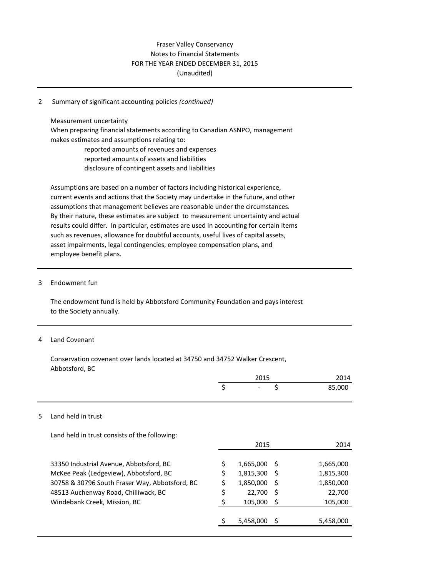#### Fraser Valley Conservancy Notes to Financial Statements FOR THE YEAR ENDED DECEMBER 31, 2015 (Unaudited)

#### 2 Summary of significant accounting policies *(continued)*

#### Measurement uncertainty

When preparing financial statements according to Canadian ASNPO, management makes estimates and assumptions relating to: reported amounts of revenues and expenses

reported amounts of assets and liabilities

disclosure of contingent assets and liabilities

Assumptions are based on a number of factors including historical experience, current events and actions that the Society may undertake in the future, and other assumptions that management believes are reasonable under the circumstances. By their nature, these estimates are subject to measurement uncertainty and actual results could differ. In particular, estimates are used in accounting for certain items such as revenues, allowance for doubtful accounts, useful lives of capital assets, asset impairments, legal contingencies, employee compensation plans, and employee benefit plans.

#### 3 Endowment fun

The endowment fund is held by Abbotsford Community Foundation and pays interest to the Society annually.

#### 4 Land Covenant

Conservation covenant over lands located at 34750 and 34752 Walker Crescent, Abbotsford, BC

|                      | 2015                     |        |  |
|----------------------|--------------------------|--------|--|
|                      | $\overline{\phantom{0}}$ | 85,000 |  |
| 5 Land held in trust |                          |        |  |

Land held in trust consists of the following:

|                                                | 2015      |     | 2014      |
|------------------------------------------------|-----------|-----|-----------|
| 33350 Industrial Avenue, Abbotsford, BC        | 1,665,000 | - S | 1,665,000 |
| McKee Peak (Ledgeview), Abbotsford, BC         | 1,815,300 | - S | 1,815,300 |
| 30758 & 30796 South Fraser Way, Abbotsford, BC | 1,850,000 | -S  | 1,850,000 |
| 48513 Auchenway Road, Chilliwack, BC           | 22,700    | -S  | 22,700    |
| Windebank Creek, Mission, BC                   | 105,000   | S   | 105,000   |
|                                                | 5,458,000 |     | 5,458,000 |
|                                                |           |     |           |